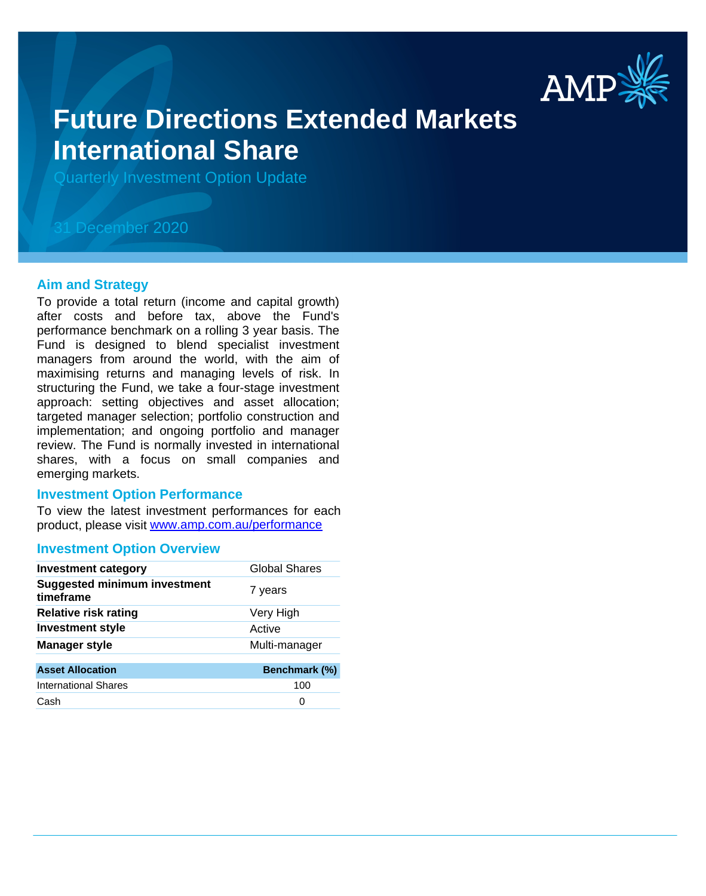

# **Future Directions Extended Markets International Share**

Quarterly Investment Option Update

## 31 December 2020

#### **Aim and Strategy**

To provide a total return (income and capital growth) after costs and before tax, above the Fund's performance benchmark on a rolling 3 year basis. The Fund is designed to blend specialist investment managers from around the world, with the aim of maximising returns and managing levels of risk. In structuring the Fund, we take a four-stage investment approach: setting objectives and asset allocation; targeted manager selection; portfolio construction and implementation; and ongoing portfolio and manager review. The Fund is normally invested in international shares, with a focus on small companies and emerging markets.

#### **Investment Option Performance**

product, please visit www.amp.com.au/performance To view the latest investment performances for each

#### **Investment Option Overview**

| <b>Investment category</b>                       | <b>Global Shares</b> |
|--------------------------------------------------|----------------------|
| <b>Suggested minimum investment</b><br>timeframe | 7 years              |
| <b>Relative risk rating</b>                      | Very High            |
| <b>Investment style</b>                          | Active               |
| <b>Manager style</b>                             | Multi-manager        |
| <b>Asset Allocation</b>                          | Benchmark (%)        |
| <b>International Shares</b>                      | 100                  |
| Cash                                             | 0                    |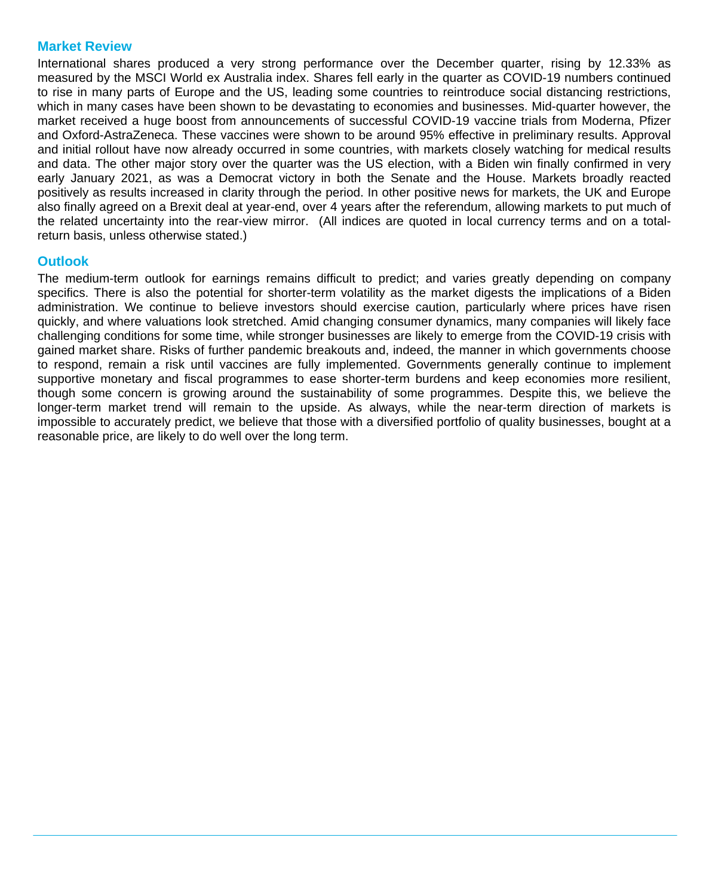#### **Market Review**

International shares produced a very strong performance over the December quarter, rising by 12.33% as measured by the MSCI World ex Australia index. Shares fell early in the quarter as COVID-19 numbers continued to rise in many parts of Europe and the US, leading some countries to reintroduce social distancing restrictions, which in many cases have been shown to be devastating to economies and businesses. Mid-quarter however, the market received a huge boost from announcements of successful COVID-19 vaccine trials from Moderna, Pfizer and Oxford-AstraZeneca. These vaccines were shown to be around 95% effective in preliminary results. Approval and initial rollout have now already occurred in some countries, with markets closely watching for medical results and data. The other major story over the quarter was the US election, with a Biden win finally confirmed in very early January 2021, as was a Democrat victory in both the Senate and the House. Markets broadly reacted positively as results increased in clarity through the period. In other positive news for markets, the UK and Europe also finally agreed on a Brexit deal at year-end, over 4 years after the referendum, allowing markets to put much of the related uncertainty into the rear-view mirror. (All indices are quoted in local currency terms and on a totalreturn basis, unless otherwise stated.)

### **Outlook**

The medium-term outlook for earnings remains difficult to predict; and varies greatly depending on company specifics. There is also the potential for shorter-term volatility as the market digests the implications of a Biden administration. We continue to believe investors should exercise caution, particularly where prices have risen quickly, and where valuations look stretched. Amid changing consumer dynamics, many companies will likely face challenging conditions for some time, while stronger businesses are likely to emerge from the COVID-19 crisis with gained market share. Risks of further pandemic breakouts and, indeed, the manner in which governments choose to respond, remain a risk until vaccines are fully implemented. Governments generally continue to implement supportive monetary and fiscal programmes to ease shorter-term burdens and keep economies more resilient, though some concern is growing around the sustainability of some programmes. Despite this, we believe the longer-term market trend will remain to the upside. As always, while the near-term direction of markets is impossible to accurately predict, we believe that those with a diversified portfolio of quality businesses, bought at a reasonable price, are likely to do well over the long term.